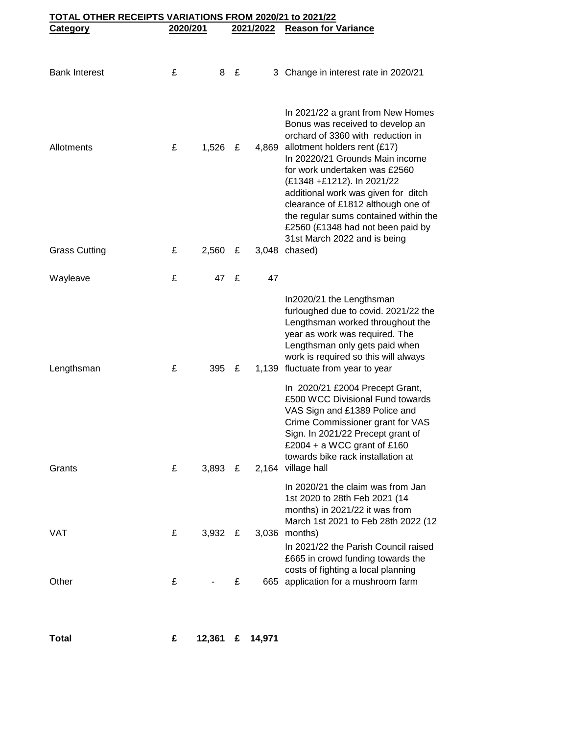| TOTAL OTHER RECEIPTS VARIATIONS FROM 2020/21 to 2021/22 |          |           |   |           |                                                                                                                                                                                                                                                                                                                                 |  |  |
|---------------------------------------------------------|----------|-----------|---|-----------|---------------------------------------------------------------------------------------------------------------------------------------------------------------------------------------------------------------------------------------------------------------------------------------------------------------------------------|--|--|
| <b>Category</b>                                         | 2020/201 |           |   | 2021/2022 | <b>Reason for Variance</b>                                                                                                                                                                                                                                                                                                      |  |  |
|                                                         |          |           |   |           |                                                                                                                                                                                                                                                                                                                                 |  |  |
| <b>Bank Interest</b>                                    | £        | 8         | £ |           | 3 Change in interest rate in 2020/21                                                                                                                                                                                                                                                                                            |  |  |
|                                                         |          |           |   |           | In 2021/22 a grant from New Homes<br>Bonus was received to develop an<br>orchard of 3360 with reduction in                                                                                                                                                                                                                      |  |  |
| Allotments                                              | £        | 1,526     | £ |           | 4,869 allotment holders rent (£17)<br>In 20220/21 Grounds Main income<br>for work undertaken was £2560<br>(£1348 +£1212). In 2021/22<br>additional work was given for ditch<br>clearance of £1812 although one of<br>the regular sums contained within the<br>£2560 (£1348 had not been paid by<br>31st March 2022 and is being |  |  |
| <b>Grass Cutting</b>                                    | £        | 2,560     | £ |           | 3,048 chased)                                                                                                                                                                                                                                                                                                                   |  |  |
| Wayleave                                                | £        | 47        | £ | 47        |                                                                                                                                                                                                                                                                                                                                 |  |  |
| Lengthsman                                              | £        | 395       | £ |           | In2020/21 the Lengthsman<br>furloughed due to covid. 2021/22 the<br>Lengthsman worked throughout the<br>year as work was required. The<br>Lengthsman only gets paid when<br>work is required so this will always<br>1,139 fluctuate from year to year                                                                           |  |  |
| Grants                                                  | £        | 3,893 $E$ |   |           | In 2020/21 £2004 Precept Grant,<br>£500 WCC Divisional Fund towards<br>VAS Sign and £1389 Police and<br>Crime Commissioner grant for VAS<br>Sign. In 2021/22 Precept grant of<br>£2004 + a WCC grant of £160<br>towards bike rack installation at<br>2,164 village hall                                                         |  |  |
|                                                         |          |           |   |           | In 2020/21 the claim was from Jan<br>1st 2020 to 28th Feb 2021 (14<br>months) in 2021/22 it was from<br>March 1st 2021 to Feb 28th 2022 (12                                                                                                                                                                                     |  |  |
| VAT                                                     | £        | $3,932$ £ |   |           | 3,036 months)<br>In 2021/22 the Parish Council raised<br>£665 in crowd funding towards the<br>costs of fighting a local planning                                                                                                                                                                                                |  |  |
| Other                                                   | £        |           | £ |           | 665 application for a mushroom farm                                                                                                                                                                                                                                                                                             |  |  |
|                                                         |          |           |   |           |                                                                                                                                                                                                                                                                                                                                 |  |  |

**Total £ 12,361 £ 14,971**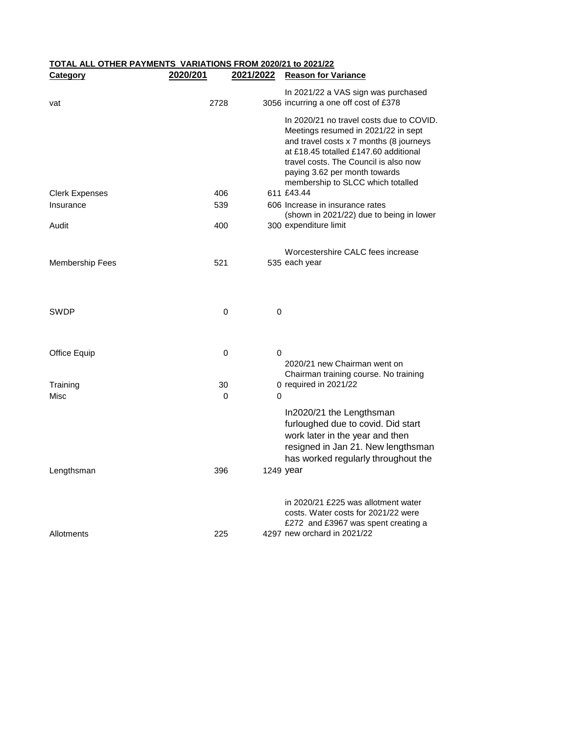## **TOTAL ALL OTHER PAYMENTS VARIATIONS FROM 2020/21 to 2021/22 Category 2020/201 2021/2022 Reason for Variance**

| vat                    | 2728 | In 2021/22 a VAS sign was purchased<br>3056 incurring a one off cost of £378                                                                                                                                                                                                       |
|------------------------|------|------------------------------------------------------------------------------------------------------------------------------------------------------------------------------------------------------------------------------------------------------------------------------------|
|                        |      | In 2020/21 no travel costs due to COVID.<br>Meetings resumed in 2021/22 in sept<br>and travel costs x 7 months (8 journeys<br>at £18.45 totalled £147.60 additional<br>travel costs. The Council is also now<br>paying 3.62 per month towards<br>membership to SLCC which totalled |
| <b>Clerk Expenses</b>  | 406  | 611 £43.44                                                                                                                                                                                                                                                                         |
| Insurance              | 539  | 606 Increase in insurance rates<br>(shown in 2021/22) due to being in lower                                                                                                                                                                                                        |
| Audit                  | 400  | 300 expenditure limit                                                                                                                                                                                                                                                              |
|                        |      | Worcestershire CALC fees increase                                                                                                                                                                                                                                                  |
| <b>Membership Fees</b> | 521  | 535 each year                                                                                                                                                                                                                                                                      |
| SWDP                   | 0    | 0                                                                                                                                                                                                                                                                                  |
| Office Equip           | 0    | 0<br>2020/21 new Chairman went on<br>Chairman training course. No training                                                                                                                                                                                                         |
| Training               | 30   | 0 required in 2021/22                                                                                                                                                                                                                                                              |
| Misc                   | 0    | 0                                                                                                                                                                                                                                                                                  |
|                        |      | In2020/21 the Lengthsman<br>furloughed due to covid. Did start<br>work later in the year and then<br>resigned in Jan 21. New lengthsman<br>has worked regularly throughout the                                                                                                     |
| Lengthsman             | 396  | 1249 year                                                                                                                                                                                                                                                                          |
|                        |      | in 2020/21 £225 was allotment water<br>costs. Water costs for 2021/22 were<br>£272 and £3967 was spent creating a                                                                                                                                                                  |
| Allotments             | 225  | 4297 new orchard in 2021/22                                                                                                                                                                                                                                                        |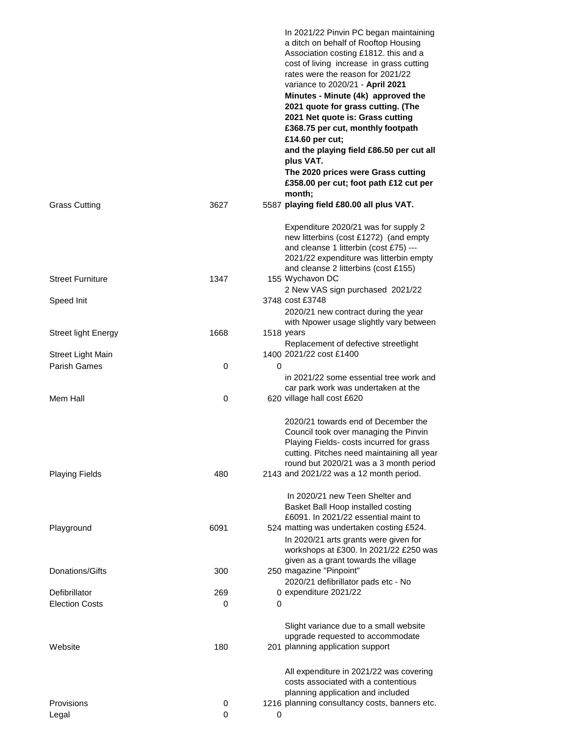|                            |      | In 2021/22 Pinvin PC began maintaining<br>a ditch on behalf of Rooftop Housing<br>Association costing £1812. this and a<br>cost of living increase in grass cutting<br>rates were the reason for 2021/22<br>variance to 2020/21 - April 2021<br>Minutes - Minute (4k) approved the<br>2021 quote for grass cutting. (The<br>2021 Net quote is: Grass cutting<br>£368.75 per cut, monthly footpath<br>£14.60 per cut;<br>and the playing field £86.50 per cut all<br>plus VAT.<br>The 2020 prices were Grass cutting<br>£358.00 per cut; foot path £12 cut per<br>month; |
|----------------------------|------|-------------------------------------------------------------------------------------------------------------------------------------------------------------------------------------------------------------------------------------------------------------------------------------------------------------------------------------------------------------------------------------------------------------------------------------------------------------------------------------------------------------------------------------------------------------------------|
| <b>Grass Cutting</b>       | 3627 | 5587 playing field £80.00 all plus VAT.                                                                                                                                                                                                                                                                                                                                                                                                                                                                                                                                 |
|                            |      | Expenditure 2020/21 was for supply 2<br>new litterbins (cost £1272) (and empty<br>and cleanse 1 litterbin (cost £75) ---<br>2021/22 expenditure was litterbin empty<br>and cleanse 2 litterbins (cost £155)                                                                                                                                                                                                                                                                                                                                                             |
| <b>Street Furniture</b>    | 1347 | 155 Wychavon DC<br>2 New VAS sign purchased 2021/22                                                                                                                                                                                                                                                                                                                                                                                                                                                                                                                     |
| Speed Init                 |      | 3748 cost £3748<br>2020/21 new contract during the year                                                                                                                                                                                                                                                                                                                                                                                                                                                                                                                 |
| <b>Street light Energy</b> | 1668 | with Npower usage slightly vary between<br>1518 years                                                                                                                                                                                                                                                                                                                                                                                                                                                                                                                   |
|                            |      | Replacement of defective streetlight                                                                                                                                                                                                                                                                                                                                                                                                                                                                                                                                    |
| <b>Street Light Main</b>   |      | 1400 2021/22 cost £1400                                                                                                                                                                                                                                                                                                                                                                                                                                                                                                                                                 |
| <b>Parish Games</b>        | 0    | $\Omega$<br>in 2021/22 some essential tree work and                                                                                                                                                                                                                                                                                                                                                                                                                                                                                                                     |
| Mem Hall                   | 0    | car park work was undertaken at the<br>620 village hall cost £620                                                                                                                                                                                                                                                                                                                                                                                                                                                                                                       |
|                            |      | 2020/21 towards end of December the<br>Council took over managing the Pinvin<br>Playing Fields- costs incurred for grass<br>cutting. Pitches need maintaining all year<br>round but 2020/21 was a 3 month period                                                                                                                                                                                                                                                                                                                                                        |
| <b>Playing Fields</b>      | 480  | 2143 and 2021/22 was a 12 month period.                                                                                                                                                                                                                                                                                                                                                                                                                                                                                                                                 |
|                            |      | In 2020/21 new Teen Shelter and<br>Basket Ball Hoop installed costing<br>£6091. In 2021/22 essential maint to                                                                                                                                                                                                                                                                                                                                                                                                                                                           |
| Playground                 | 6091 | 524 matting was undertaken costing £524.<br>In 2020/21 arts grants were given for<br>workshops at £300. In 2021/22 £250 was<br>given as a grant towards the village                                                                                                                                                                                                                                                                                                                                                                                                     |
| Donations/Gifts            | 300  | 250 magazine "Pinpoint"<br>2020/21 defibrillator pads etc - No                                                                                                                                                                                                                                                                                                                                                                                                                                                                                                          |
| Defibrillator              | 269  | 0 expenditure 2021/22                                                                                                                                                                                                                                                                                                                                                                                                                                                                                                                                                   |
| <b>Election Costs</b>      | 0    | 0                                                                                                                                                                                                                                                                                                                                                                                                                                                                                                                                                                       |
| Website                    | 180  | Slight variance due to a small website<br>upgrade requested to accommodate<br>201 planning application support                                                                                                                                                                                                                                                                                                                                                                                                                                                          |
|                            |      | All expenditure in 2021/22 was covering<br>costs associated with a contentious<br>planning application and included                                                                                                                                                                                                                                                                                                                                                                                                                                                     |
| Provisions                 | 0    | 1216 planning consultancy costs, banners etc.                                                                                                                                                                                                                                                                                                                                                                                                                                                                                                                           |
| Legal                      | 0    | 0                                                                                                                                                                                                                                                                                                                                                                                                                                                                                                                                                                       |